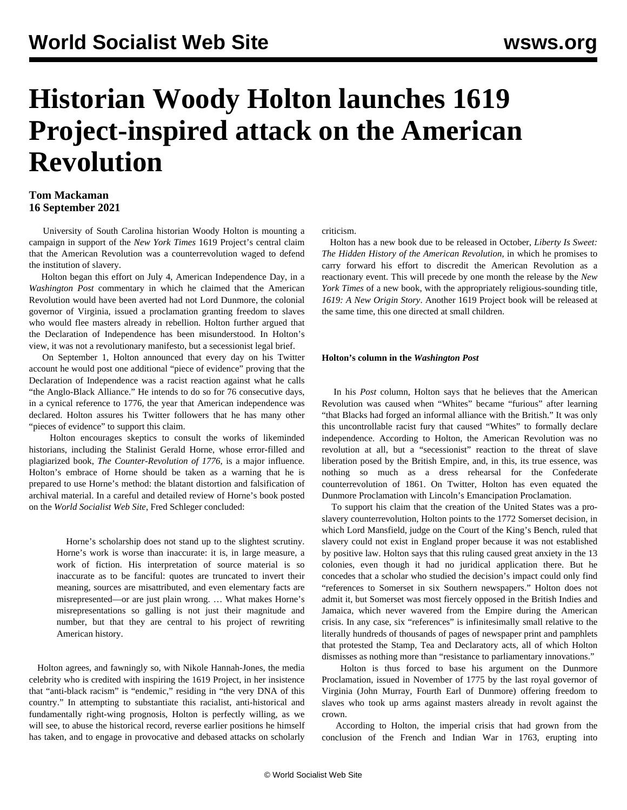# **Historian Woody Holton launches 1619 Project-inspired attack on the American Revolution**

### **Tom Mackaman 16 September 2021**

 University of South Carolina historian Woody Holton is mounting a campaign in support of the *New York Times* 1619 Project's central claim that the American Revolution was a counterrevolution waged to defend the institution of slavery.

 Holton began this effort on July 4, American Independence Day, in a *Washington Post* commentary in which he claimed that the American Revolution would have been averted had not Lord Dunmore, the colonial governor of Virginia, issued a proclamation granting freedom to slaves who would flee masters already in rebellion. Holton further argued that the Declaration of Independence has been misunderstood. In Holton's view, it was not a revolutionary manifesto, but a secessionist legal brief.

 On September 1, Holton announced that every day on his Twitter account he would post one additional "piece of evidence" proving that the Declaration of Independence was a racist reaction against what he calls "the Anglo-Black Alliance." He intends to do so for 76 consecutive days, in a cynical reference to 1776, the year that American independence was declared. Holton assures his Twitter followers that he has many other "pieces of evidence" to support this claim.

 Holton encourages skeptics to consult the works of likeminded historians, including the Stalinist Gerald Horne, whose error-filled and plagiarized book, *The Counter-Revolution of 1776*, is a major influence. Holton's embrace of Horne should be taken as a warning that he is prepared to use Horne's method: the blatant distortion and falsification of archival material. In a [careful and detailed review](/en/articles/2021/03/18/horn-m18.html) of Horne's book posted on the *World Socialist Web Site*, Fred Schleger concluded:

 Horne's scholarship does not stand up to the slightest scrutiny. Horne's work is worse than inaccurate: it is, in large measure, a work of fiction. His interpretation of source material is so inaccurate as to be fanciful: quotes are truncated to invert their meaning, sources are misattributed, and even elementary facts are misrepresented—or are just plain wrong. … What makes Horne's misrepresentations so galling is not just their magnitude and number, but that they are central to his project of rewriting American history.

 Holton agrees, and fawningly so, with Nikole Hannah-Jones, the media celebrity who is credited with inspiring the 1619 Project, in her insistence that "anti-black racism" is "endemic," residing in "the very DNA of this country." In attempting to substantiate this racialist, anti-historical and fundamentally right-wing prognosis, Holton is perfectly willing, as we will see, to abuse the historical record, reverse earlier positions he himself has taken, and to engage in provocative and debased attacks on scholarly criticism.

 Holton has a new book due to be released in October, *Liberty Is Sweet: The Hidden History of the American Revolution*, in which he promises to carry forward his effort to discredit the American Revolution as a reactionary event. This will precede by one month the release by the *New York Times* of a new book, with the appropriately religious-sounding title, *1619: A New Origin Story*. Another 1619 Project book will be released at the same time, this one directed at small children.

#### **Holton's column in the** *Washington Post*

 In his *Post* column, Holton says that he believes that the American Revolution was caused when "Whites" became "furious" after learning "that Blacks had forged an informal alliance with the British." It was only this uncontrollable racist fury that caused "Whites" to formally declare independence. According to Holton, the American Revolution was no revolution at all, but a "secessionist" reaction to the threat of slave liberation posed by the British Empire, and, in this, its true essence, was nothing so much as a dress rehearsal for the Confederate counterrevolution of 1861. On Twitter, Holton has even equated the Dunmore Proclamation with Lincoln's Emancipation Proclamation.

 To support his claim that the creation of the United States was a proslavery counterrevolution, Holton points to the 1772 Somerset decision, in which Lord Mansfield, judge on the Court of the King's Bench, ruled that slavery could not exist in England proper because it was not established by positive law. Holton says that this ruling caused great anxiety in the 13 colonies, even though it had no juridical application there. But he concedes that a scholar who studied the decision's impact could only find "references to Somerset in six Southern newspapers." Holton does not admit it, but Somerset was most fiercely opposed in the British Indies and Jamaica, which never wavered from the Empire during the American crisis. In any case, six "references" is infinitesimally small relative to the literally hundreds of thousands of pages of newspaper print and pamphlets that protested the Stamp, Tea and Declaratory acts, all of which Holton dismisses as nothing more than "resistance to parliamentary innovations."

 Holton is thus forced to base his argument on the Dunmore Proclamation, issued in November of 1775 by the last royal governor of Virginia (John Murray, Fourth Earl of Dunmore) offering freedom to slaves who took up arms against masters already in revolt against the crown.

 According to Holton, the imperial crisis that had grown from the conclusion of the French and Indian War in 1763, erupting into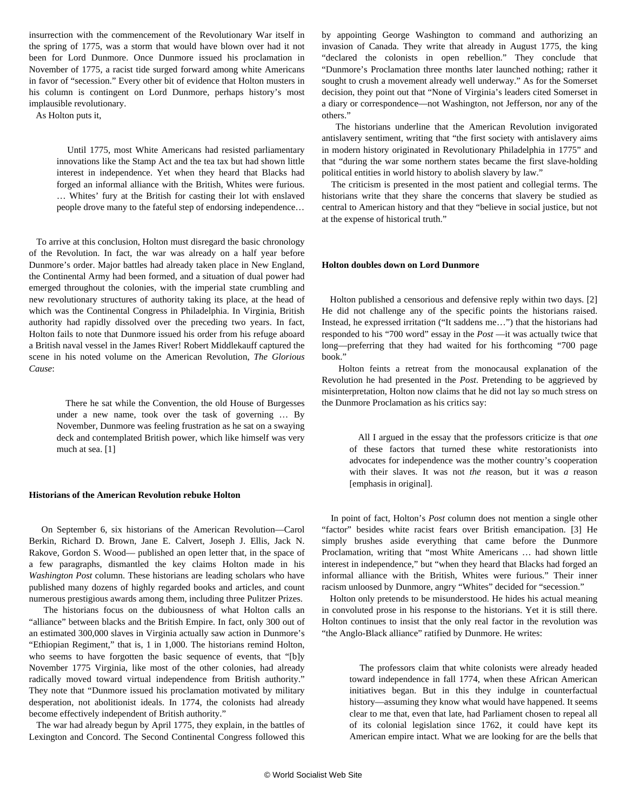insurrection with the commencement of the Revolutionary War itself in the spring of 1775, was a storm that would have blown over had it not been for Lord Dunmore. Once Dunmore issued his proclamation in November of 1775, a racist tide surged forward among white Americans in favor of "secession." Every other bit of evidence that Holton musters in his column is contingent on Lord Dunmore, perhaps history's most implausible revolutionary.

As Holton puts it,

 Until 1775, most White Americans had resisted parliamentary innovations like the Stamp Act and the tea tax but had shown little interest in independence. Yet when they heard that Blacks had forged an informal alliance with the British, Whites were furious. … Whites' fury at the British for casting their lot with enslaved people drove many to the fateful step of endorsing independence…

 To arrive at this conclusion, Holton must disregard the basic chronology of the Revolution. In fact, the war was already on a half year before Dunmore's order. Major battles had already taken place in New England, the Continental Army had been formed, and a situation of dual power had emerged throughout the colonies, with the imperial state crumbling and new revolutionary structures of authority taking its place, at the head of which was the Continental Congress in Philadelphia. In Virginia, British authority had rapidly dissolved over the preceding two years. In fact, Holton fails to note that Dunmore issued his order from his refuge aboard a British naval vessel in the James River! Robert Middlekauff captured the scene in his noted volume on the American Revolution, *The Glorious Cause*:

 There he sat while the Convention, the old House of Burgesses under a new name, took over the task of governing … By November, Dunmore was feeling frustration as he sat on a swaying deck and contemplated British power, which like himself was very much at sea. [1]

#### **Historians of the American Revolution rebuke Holton**

 On September 6, six historians of the American Revolution—Carol Berkin, Richard D. Brown, Jane E. Calvert, Joseph J. Ellis, Jack N. Rakove, Gordon S. Wood— [published an open letter](https://medium.com/@RichardDBrownCT/on-1619-and-woody-holtons-account-of-slavery-and-the-independence-movement-six-historians-respond-b43369ad52d7) that, in the space of a few paragraphs, dismantled the key claims Holton made in his *Washington Post* column. These historians are leading scholars who have published many dozens of highly regarded books and articles, and count numerous prestigious awards among them, including three Pulitzer Prizes.

 The historians focus on the dubiousness of what Holton calls an "alliance" between blacks and the British Empire. In fact, only 300 out of an estimated 300,000 slaves in Virginia actually saw action in Dunmore's "Ethiopian Regiment," that is, 1 in 1,000. The historians remind Holton, who seems to have forgotten the basic sequence of events, that "[b]y November 1775 Virginia, like most of the other colonies, had already radically moved toward virtual independence from British authority." They note that "Dunmore issued his proclamation motivated by military desperation, not abolitionist ideals. In 1774, the colonists had already become effectively independent of British authority."

 The war had already begun by April 1775, they explain, in the battles of Lexington and Concord. The Second Continental Congress followed this

by appointing George Washington to command and authorizing an invasion of Canada. They write that already in August 1775, the king "declared the colonists in open rebellion." They conclude that "Dunmore's Proclamation three months later launched nothing; rather it sought to crush a movement already well underway." As for the Somerset decision, they point out that "None of Virginia's leaders cited Somerset in a diary or correspondence—not Washington, not Jefferson, nor any of the others."

 The historians underline that the American Revolution invigorated antislavery sentiment, writing that "the first society with antislavery aims in modern history originated in Revolutionary Philadelphia in 1775" and that "during the war some northern states became the first slave-holding political entities in world history to abolish slavery by law."

 The criticism is presented in the most patient and collegial terms. The historians write that they share the concerns that slavery be studied as central to American history and that they "believe in social justice, but not at the expense of historical truth."

#### **Holton doubles down on Lord Dunmore**

 Holton published a censorious and defensive reply within two days. [2] He did not challenge any of the specific points the historians raised. Instead, he expressed irritation ("It saddens me…") that the historians had responded to his "700 word" essay in the *Post* —it was actually twice that long—preferring that they had waited for his forthcoming "700 page book."

 Holton feints a retreat from the monocausal explanation of the Revolution he had presented in the *Post*. Pretending to be aggrieved by misinterpretation, Holton now claims that he did not lay so much stress on the Dunmore Proclamation as his critics say:

 All I argued in the essay that the professors criticize is that *one* of these factors that turned these white restorationists into advocates for independence was the mother country's cooperation with their slaves. It was not *the* reason, but it was *a* reason [emphasis in original].

 In point of fact, Holton's *Post* column does not mention a single other "factor" besides white racist fears over British emancipation. [3] He simply brushes aside everything that came before the Dunmore Proclamation, writing that "most White Americans … had shown little interest in independence," but "when they heard that Blacks had forged an informal alliance with the British, Whites were furious." Their inner racism unloosed by Dunmore, angry "Whites" decided for "secession."

 Holton only pretends to be misunderstood. He hides his actual meaning in convoluted prose in his response to the historians. Yet it is still there. Holton continues to insist that the only real factor in the revolution was "the Anglo-Black alliance" ratified by Dunmore. He writes:

 The professors claim that white colonists were already headed toward independence in fall 1774, when these African American initiatives began. But in this they indulge in counterfactual history—assuming they know what would have happened. It seems clear to me that, even that late, had Parliament chosen to repeal all of its colonial legislation since 1762, it could have kept its American empire intact. What we are looking for are the bells that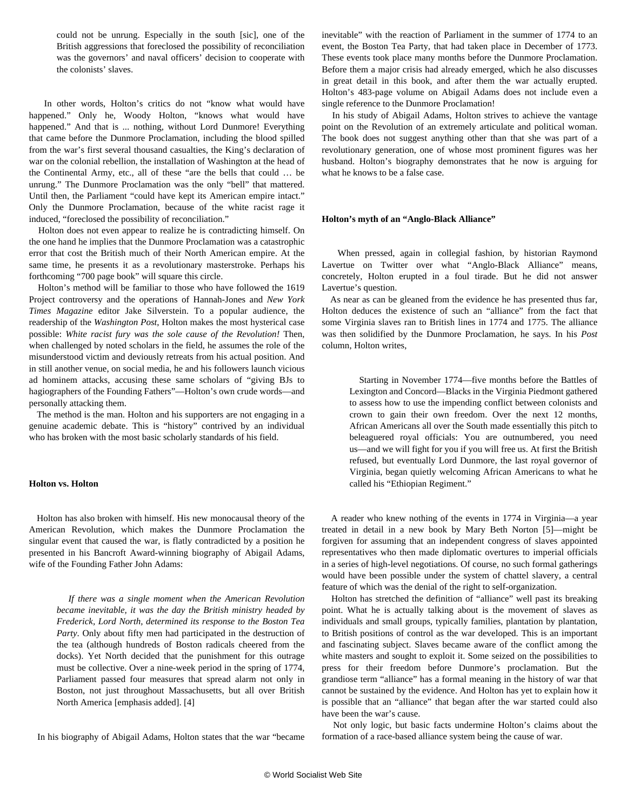could not be unrung. Especially in the south [sic], one of the British aggressions that foreclosed the possibility of reconciliation was the governors' and naval officers' decision to cooperate with the colonists' slaves.

 In other words, Holton's critics do not "know what would have happened." Only he, Woody Holton, "knows what would have happened." And that is ... nothing, without Lord Dunmore! Everything that came before the Dunmore Proclamation, including the blood spilled from the war's first several thousand casualties, the King's declaration of war on the colonial rebellion, the installation of Washington at the head of the Continental Army, etc., all of these "are the bells that could … be unrung." The Dunmore Proclamation was the only "bell" that mattered. Until then, the Parliament "could have kept its American empire intact." Only the Dunmore Proclamation, because of the white racist rage it induced, "foreclosed the possibility of reconciliation."

 Holton does not even appear to realize he is contradicting himself. On the one hand he implies that the Dunmore Proclamation was a catastrophic error that cost the British much of their North American empire. At the same time, he presents it as a revolutionary masterstroke. Perhaps his forthcoming "700 page book" will square this circle.

 Holton's method will be familiar to those who have followed the 1619 Project controversy and the operations of Hannah-Jones and *New York Times Magazine* editor Jake Silverstein. To a popular audience, the readership of the *Washington Post*, Holton makes the most hysterical case possible: *White racist fury was the sole cause of the Revolution!* Then, when challenged by noted scholars in the field, he assumes the role of the misunderstood victim and deviously retreats from his actual position. And in still another venue, on social media, he and his followers launch vicious ad hominem attacks, accusing these same scholars of "giving BJs to hagiographers of the Founding Fathers"—Holton's own crude words—and personally attacking them.

 The method is the man. Holton and his supporters are not engaging in a genuine academic debate. This is "history" contrived by an individual who has broken with the most basic scholarly standards of his field.

#### **Holton vs. Holton**

 Holton has also broken with himself. His new monocausal theory of the American Revolution, which makes the Dunmore Proclamation the singular event that caused the war, is flatly contradicted by a position he presented in his Bancroft Award-winning biography of Abigail Adams, wife of the Founding Father John Adams:

 *If there was a single moment when the American Revolution became inevitable, it was the day the British ministry headed by Frederick, Lord North, determined its response to the Boston Tea Party*. Only about fifty men had participated in the destruction of the tea (although hundreds of Boston radicals cheered from the docks). Yet North decided that the punishment for this outrage must be collective. Over a nine-week period in the spring of 1774, Parliament passed four measures that spread alarm not only in Boston, not just throughout Massachusetts, but all over British North America [emphasis added]. [4]

In his biography of Abigail Adams, Holton states that the war "became

inevitable" with the reaction of Parliament in the summer of 1774 to an event, the Boston Tea Party, that had taken place in December of 1773. These events took place many months before the Dunmore Proclamation. Before them a major crisis had already emerged, which he also discusses in great detail in this book, and after them the war actually erupted. Holton's 483-page volume on Abigail Adams does not include even a single reference to the Dunmore Proclamation!

 In his study of Abigail Adams, Holton strives to achieve the vantage point on the Revolution of an extremely articulate and political woman. The book does not suggest anything other than that she was part of a revolutionary generation, one of whose most prominent figures was her husband. Holton's biography demonstrates that he now is arguing for what he knows to be a false case.

#### **Holton's myth of an "Anglo-Black Alliance"**

 When pressed, again in collegial fashion, by historian Raymond Lavertue on Twitter over what "Anglo-Black Alliance" means, concretely, Holton erupted in a foul tirade. But he did not answer Lavertue's question.

 As near as can be gleaned from the evidence he has presented thus far, Holton deduces the existence of such an "alliance" from the fact that some Virginia slaves ran to British lines in 1774 and 1775. The alliance was then solidified by the Dunmore Proclamation, he says. In his *Post* column, Holton writes,

 Starting in November 1774—five months before the Battles of Lexington and Concord—Blacks in the Virginia Piedmont gathered to assess how to use the impending conflict between colonists and crown to gain their own freedom. Over the next 12 months, African Americans all over the South made essentially this pitch to beleaguered royal officials: You are outnumbered, you need us—and we will fight for you if you will free us. At first the British refused, but eventually Lord Dunmore, the last royal governor of Virginia, began quietly welcoming African Americans to what he called his "Ethiopian Regiment."

 A reader who knew nothing of the events in 1774 in Virginia—a year treated in detail in a new book by Mary Beth Norton [5]—might be forgiven for assuming that an independent congress of slaves appointed representatives who then made diplomatic overtures to imperial officials in a series of high-level negotiations. Of course, no such formal gatherings would have been possible under the system of chattel slavery, a central feature of which was the denial of the right to self-organization.

 Holton has stretched the definition of "alliance" well past its breaking point. What he is actually talking about is the movement of slaves as individuals and small groups, typically families, plantation by plantation, to British positions of control as the war developed. This is an important and fascinating subject. Slaves became aware of the conflict among the white masters and sought to exploit it. Some seized on the possibilities to press for their freedom before Dunmore's proclamation. But the grandiose term "alliance" has a formal meaning in the history of war that cannot be sustained by the evidence. And Holton has yet to explain how it is possible that an "alliance" that began after the war started could also have been the war's cause.

 Not only logic, but basic facts undermine Holton's claims about the formation of a race-based alliance system being the cause of war.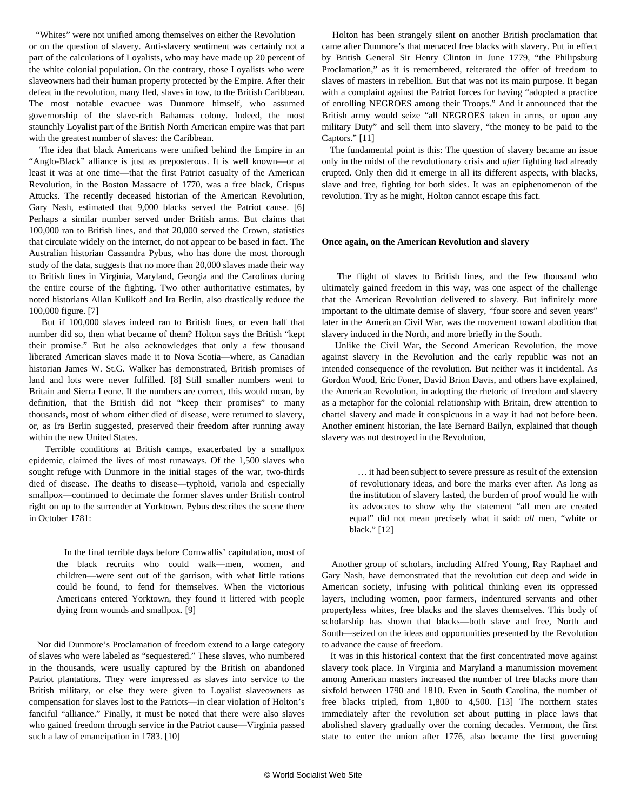"Whites" were not unified among themselves on either the Revolution or on the question of slavery. Anti-slavery sentiment was certainly not a part of the calculations of Loyalists, who may have made up 20 percent of the white colonial population. On the contrary, those Loyalists who were slaveowners had their human property protected by the Empire. After their defeat in the revolution, many fled, slaves in tow, to the British Caribbean. The most notable evacuee was Dunmore himself, who assumed governorship of the slave-rich Bahamas colony. Indeed, the most staunchly Loyalist part of the British North American empire was that part with the greatest number of slaves: the Caribbean.

 The idea that black Americans were unified behind the Empire in an "Anglo-Black" alliance is just as preposterous. It is well known—or at least it was at one time—that the first Patriot casualty of the American Revolution, in the Boston Massacre of 1770, was a free black, Crispus Attucks. The recently deceased historian of the American Revolution, Gary Nash, estimated that 9,000 blacks served the Patriot cause. [6] Perhaps a similar number served under British arms. But claims that 100,000 ran to British lines, and that 20,000 served the Crown, statistics that circulate widely on the internet, do not appear to be based in fact. The Australian historian Cassandra Pybus, who has done the most thorough study of the data, suggests that no more than 20,000 slaves made their way to British lines in Virginia, Maryland, Georgia and the Carolinas during the entire course of the fighting. Two other authoritative estimates, by noted historians Allan Kulikoff and Ira Berlin, also drastically reduce the 100,000 figure. [7]

 But if 100,000 slaves indeed ran to British lines, or even half that number did so, then what became of them? Holton says the British "kept their promise." But he also acknowledges that only a few thousand liberated American slaves made it to Nova Scotia—where, as Canadian historian James W. St.G. Walker has demonstrated, British promises of land and lots were never fulfilled. [8] Still smaller numbers went to Britain and Sierra Leone. If the numbers are correct, this would mean, by definition, that the British did not "keep their promises" to many thousands, most of whom either died of disease, were returned to slavery, or, as Ira Berlin suggested, preserved their freedom after running away within the new United States.

 Terrible conditions at British camps, exacerbated by a smallpox epidemic, claimed the lives of most runaways. Of the 1,500 slaves who sought refuge with Dunmore in the initial stages of the war, two-thirds died of disease. The deaths to disease—typhoid, variola and especially smallpox—continued to decimate the former slaves under British control right on up to the surrender at Yorktown. Pybus describes the scene there in October 1781:

 In the final terrible days before Cornwallis' capitulation, most of the black recruits who could walk—men, women, and children—were sent out of the garrison, with what little rations could be found, to fend for themselves. When the victorious Americans entered Yorktown, they found it littered with people dying from wounds and smallpox. [9]

 Nor did Dunmore's Proclamation of freedom extend to a large category of slaves who were labeled as "sequestered." These slaves, who numbered in the thousands, were usually captured by the British on abandoned Patriot plantations. They were impressed as slaves into service to the British military, or else they were given to Loyalist slaveowners as compensation for slaves lost to the Patriots—in clear violation of Holton's fanciful "alliance." Finally, it must be noted that there were also slaves who gained freedom through service in the Patriot cause—Virginia passed such a law of emancipation in 1783. [10]

 Holton has been strangely silent on another British proclamation that came after Dunmore's that menaced free blacks with slavery. Put in effect by British General Sir Henry Clinton in June 1779, "the Philipsburg Proclamation," as it is remembered, reiterated the offer of freedom to slaves of masters in rebellion. But that was not its main purpose. It began with a complaint against the Patriot forces for having "adopted a practice of enrolling NEGROES among their Troops." And it announced that the British army would seize "all NEGROES taken in arms, or upon any military Duty" and sell them into slavery, "the money to be paid to the Captors." [11]

 The fundamental point is this: The question of slavery became an issue only in the midst of the revolutionary crisis and *after* fighting had already erupted. Only then did it emerge in all its different aspects, with blacks, slave and free, fighting for both sides. It was an epiphenomenon of the revolution. Try as he might, Holton cannot escape this fact.

#### **Once again, on the American Revolution and slavery**

 The flight of slaves to British lines, and the few thousand who ultimately gained freedom in this way, was one aspect of the challenge that the American Revolution delivered to slavery. But infinitely more important to the ultimate demise of slavery, "four score and seven years" later in the American Civil War, was the movement toward abolition that slavery induced in the North, and more briefly in the South.

 Unlike the Civil War, the Second American Revolution, the move against slavery in the Revolution and the early republic was not an intended consequence of the revolution. But neither was it incidental. As Gordon Wood, Eric Foner, David Brion Davis, and others have explained, the American Revolution, in adopting the rhetoric of freedom and slavery as a metaphor for the colonial relationship with Britain, drew attention to chattel slavery and made it conspicuous in a way it had not before been. Another eminent historian, the late Bernard Bailyn, explained that though slavery was not destroyed in the Revolution,

 … it had been subject to severe pressure as result of the extension of revolutionary ideas, and bore the marks ever after. As long as the institution of slavery lasted, the burden of proof would lie with its advocates to show why the statement "all men are created equal" did not mean precisely what it said: *all* men, "white or black." [12]

 Another group of scholars, including Alfred Young, Ray Raphael and Gary Nash, have demonstrated that the revolution cut deep and wide in American society, infusing with political thinking even its oppressed layers, including women, poor farmers, indentured servants and other propertyless whites, free blacks and the slaves themselves. This body of scholarship has shown that blacks—both slave and free, North and South—seized on the ideas and opportunities presented by the Revolution to advance the cause of freedom.

 It was in this historical context that the first concentrated move against slavery took place. In Virginia and Maryland a manumission movement among American masters increased the number of free blacks more than sixfold between 1790 and 1810. Even in South Carolina, the number of free blacks tripled, from 1,800 to 4,500. [13] The northern states immediately after the revolution set about putting in place laws that abolished slavery gradually over the coming decades. Vermont, the first state to enter the union after 1776, also became the first governing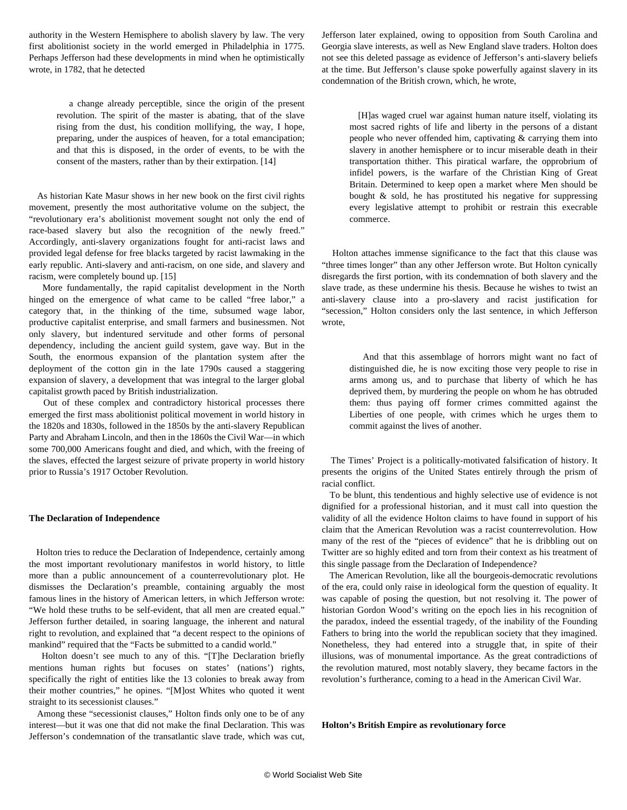authority in the Western Hemisphere to abolish slavery by law. The very first abolitionist society in the world emerged in Philadelphia in 1775. Perhaps Jefferson had these developments in mind when he optimistically wrote, in 1782, that he detected

 a change already perceptible, since the origin of the present revolution. The spirit of the master is abating, that of the slave rising from the dust, his condition mollifying, the way, I hope, preparing, under the auspices of heaven, for a total emancipation; and that this is disposed, in the order of events, to be with the consent of the masters, rather than by their extirpation. [14]

 As historian Kate Masur shows in her new book on the first civil rights movement, presently the most authoritative volume on the subject, the "revolutionary era's abolitionist movement sought not only the end of race-based slavery but also the recognition of the newly freed." Accordingly, anti-slavery organizations fought for anti-racist laws and provided legal defense for free blacks targeted by racist lawmaking in the early republic. Anti-slavery and anti-racism, on one side, and slavery and racism, were completely bound up. [15]

 More fundamentally, the rapid capitalist development in the North hinged on the emergence of what came to be called "free labor," a category that, in the thinking of the time, subsumed wage labor, productive capitalist enterprise, and small farmers and businessmen. Not only slavery, but indentured servitude and other forms of personal dependency, including the ancient guild system, gave way. But in the South, the enormous expansion of the plantation system after the deployment of the cotton gin in the late 1790s caused a staggering expansion of slavery, a development that was integral to the larger global capitalist growth paced by British industrialization.

 Out of these complex and contradictory historical processes there emerged the first mass abolitionist political movement in world history in the 1820s and 1830s, followed in the 1850s by the anti-slavery Republican Party and Abraham Lincoln, and then in the 1860s the Civil War—in which some 700,000 Americans fought and died, and which, with the freeing of the slaves, effected the largest seizure of private property in world history prior to Russia's 1917 October Revolution.

#### **The Declaration of Independence**

 Holton tries to reduce the Declaration of Independence, certainly among the most important revolutionary manifestos in world history, to little more than a public announcement of a counterrevolutionary plot. He dismisses the Declaration's preamble, containing arguably the most famous lines in the history of American letters, in which Jefferson wrote: "We hold these truths to be self-evident, that all men are created equal." Jefferson further detailed, in soaring language, the inherent and natural right to revolution, and explained that "a decent respect to the opinions of mankind" required that the "Facts be submitted to a candid world."

 Holton doesn't see much to any of this. "[T]he Declaration briefly mentions human rights but focuses on states' (nations') rights, specifically the right of entities like the 13 colonies to break away from their mother countries," he opines. "[M]ost Whites who quoted it went straight to its secessionist clauses."

 Among these "secessionist clauses," Holton finds only one to be of any interest—but it was one that did not make the final Declaration. This was Jefferson's condemnation of the transatlantic slave trade, which was cut, Jefferson later explained, owing to opposition from South Carolina and Georgia slave interests, as well as New England slave traders. Holton does not see this deleted passage as evidence of Jefferson's anti-slavery beliefs at the time. But Jefferson's clause spoke powerfully against slavery in its condemnation of the British crown, which, he wrote,

 [H]as waged cruel war against human nature itself, violating its most sacred rights of life and liberty in the persons of a distant people who never offended him, captivating & carrying them into slavery in another hemisphere or to incur miserable death in their transportation thither. This piratical warfare, the opprobrium of infidel powers, is the warfare of the Christian King of Great Britain. Determined to keep open a market where Men should be bought  $\&$  sold, he has prostituted his negative for suppressing every legislative attempt to prohibit or restrain this execrable commerce.

 Holton attaches immense significance to the fact that this clause was "three times longer" than any other Jefferson wrote. But Holton cynically disregards the first portion, with its condemnation of both slavery and the slave trade, as these undermine his thesis. Because he wishes to twist an anti-slavery clause into a pro-slavery and racist justification for "secession," Holton considers only the last sentence, in which Jefferson wrote,

 And that this assemblage of horrors might want no fact of distinguished die, he is now exciting those very people to rise in arms among us, and to purchase that liberty of which he has deprived them, by murdering the people on whom he has obtruded them: thus paying off former crimes committed against the Liberties of one people, with crimes which he urges them to commit against the lives of another.

 The Times' Project is a politically-motivated falsification of history. It presents the origins of the United States entirely through the prism of racial conflict.

 To be blunt, this tendentious and highly selective use of evidence is not dignified for a professional historian, and it must call into question the validity of all the evidence Holton claims to have found in support of his claim that the American Revolution was a racist counterrevolution. How many of the rest of the "pieces of evidence" that he is dribbling out on Twitter are so highly edited and torn from their context as his treatment of this single passage from the Declaration of Independence?

 The American Revolution, like all the bourgeois-democratic revolutions of the era, could only raise in ideological form the question of equality. It was capable of posing the question, but not resolving it. The power of historian Gordon Wood's writing on the epoch lies in his recognition of the paradox, indeed the essential tragedy, of the inability of the Founding Fathers to bring into the world the republican society that they imagined. Nonetheless, they had entered into a struggle that, in spite of their illusions, was of monumental importance. As the great contradictions of the revolution matured, most notably slavery, they became factors in the revolution's furtherance, coming to a head in the American Civil War.

**Holton's British Empire as revolutionary force**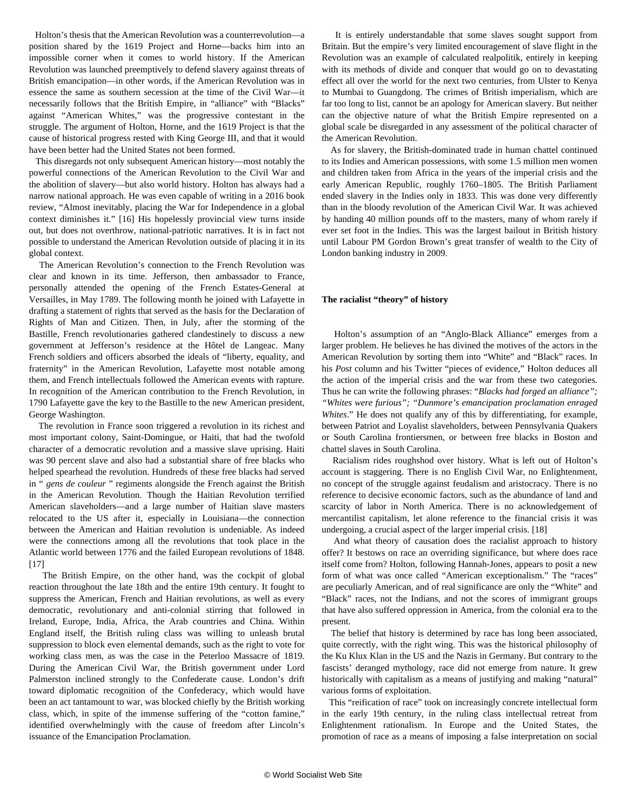Holton's thesis that the American Revolution was a counterrevolution—a position shared by the 1619 Project and Horne—backs him into an impossible corner when it comes to world history. If the American Revolution was launched preemptively to defend slavery against threats of British emancipation—in other words, if the American Revolution was in essence the same as southern secession at the time of the Civil War—it necessarily follows that the British Empire, in "alliance" with "Blacks" against "American Whites," was the progressive contestant in the struggle. The argument of Holton, Horne, and the 1619 Project is that the cause of historical progress rested with King George III, and that it would have been better had the United States not been formed.

 This disregards not only subsequent American history—most notably the powerful connections of the American Revolution to the Civil War and the abolition of slavery—but also world history. Holton has always had a narrow national approach. He was even capable of writing in a 2016 book review, "Almost inevitably, placing the War for Independence in a global context diminishes it." [16] His hopelessly provincial view turns inside out, but does not overthrow, national-patriotic narratives. It is in fact not possible to understand the American Revolution outside of placing it in its global context.

 The American Revolution's connection to the French Revolution was clear and known in its time. Jefferson, then ambassador to France, personally attended the opening of the French Estates-General at Versailles, in May 1789. The following month he joined with Lafayette in drafting a statement of rights that served as the basis for the Declaration of Rights of Man and Citizen. Then, in July, after the storming of the Bastille, French revolutionaries gathered clandestinely to discuss a new government at Jefferson's residence at the Hôtel de Langeac. Many French soldiers and officers absorbed the ideals of "liberty, equality, and fraternity" in the American Revolution, Lafayette most notable among them, and French intellectuals followed the American events with rapture. In recognition of the American contribution to the French Revolution, in 1790 Lafayette gave the key to the Bastille to the new American president, George Washington.

 The revolution in France soon triggered a revolution in its richest and most important colony, Saint-Domingue, or Haiti, that had the twofold character of a democratic revolution and a massive slave uprising. Haiti was 90 percent slave and also had a substantial share of free blacks who helped spearhead the revolution. Hundreds of these free blacks had served in " *gens de couleur* " regiments alongside the French against the British in the American Revolution. Though the Haitian Revolution terrified American slaveholders—and a large number of Haitian slave masters relocated to the US after it, especially in Louisiana—the connection between the American and Haitian revolution is undeniable. As indeed were the connections among all the revolutions that took place in the Atlantic world between 1776 and the failed European revolutions of 1848. [17]

 The British Empire, on the other hand, was the cockpit of global reaction throughout the late 18th and the entire 19th century. It fought to suppress the American, French and Haitian revolutions, as well as every democratic, revolutionary and anti-colonial stirring that followed in Ireland, Europe, India, Africa, the Arab countries and China. Within England itself, the British ruling class was willing to unleash brutal suppression to block even elemental demands, such as the right to vote for working class men, as was the case in the Peterloo Massacre of 1819. During the American Civil War, the British government under Lord Palmerston inclined strongly to the Confederate cause. London's drift toward diplomatic recognition of the Confederacy, which would have been an act tantamount to war, was [blocked chiefly by the British working](/en/articles/2013/03/26/jame-m26.html) [class,](/en/articles/2013/03/26/jame-m26.html) which, in spite of the immense suffering of the "cotton famine," identified overwhelmingly with the cause of freedom after Lincoln's issuance of the Emancipation Proclamation.

 It is entirely understandable that some slaves sought support from Britain. But the empire's very limited encouragement of slave flight in the Revolution was an example of calculated realpolitik, entirely in keeping with its methods of divide and conquer that would go on to devastating effect all over the world for the next two centuries, from Ulster to Kenya to Mumbai to Guangdong. The crimes of British imperialism, which are far too long to list, cannot be an apology for American slavery. But neither can the objective nature of what the British Empire represented on a global scale be disregarded in any assessment of the political character of the American Revolution.

 As for slavery, the British-dominated trade in human chattel continued to its Indies and American possessions, with some 1.5 million men women and children taken from Africa in the years of the imperial crisis and the early American Republic, roughly 1760–1805. The British Parliament ended slavery in the Indies only in 1833. This was done very differently than in the bloody revolution of the American Civil War. It was achieved by handing 40 million pounds off to the masters, many of whom rarely if ever set foot in the Indies. This was the largest bailout in British history until Labour PM Gordon Brown's great transfer of wealth to the City of London banking industry in 2009.

#### **The racialist "theory" of history**

 Holton's assumption of an "Anglo-Black Alliance" emerges from a larger problem. He believes he has divined the motives of the actors in the American Revolution by sorting them into "White" and "Black" races. In his *Post* column and his Twitter "pieces of evidence," Holton deduces all the action of the imperial crisis and the war from these two categories. Thus he can write the following phrases: "*Blacks had forged an alliance"; "Whites were furious"; "Dunmore's emancipation proclamation enraged Whites*." He does not qualify any of this by differentiating, for example, between Patriot and Loyalist slaveholders, between Pennsylvania Quakers or South Carolina frontiersmen, or between free blacks in Boston and chattel slaves in South Carolina.

 Racialism rides roughshod over history. What is left out of Holton's account is staggering. There is no English Civil War, no Enlightenment, no concept of the struggle against feudalism and aristocracy. There is no reference to decisive economic factors, such as the abundance of land and scarcity of labor in North America. There is no acknowledgement of mercantilist capitalism, let alone reference to the financial crisis it was undergoing, a crucial aspect of the larger imperial crisis. [18]

 And what theory of causation does the racialist approach to history offer? It bestows on race an overriding significance, but where does race itself come from? Holton, following Hannah-Jones, appears to posit a new form of what was once called "American exceptionalism." The "races" are peculiarly American, and of real significance are only the "White" and "Black" races, not the Indians, and not the scores of immigrant groups that have also suffered oppression in America, from the colonial era to the present.

 The belief that history is determined by race has long been associated, quite correctly, with the right wing. This was the historical philosophy of the Ku Klux Klan in the US and the Nazis in Germany. But contrary to the fascists' deranged mythology, race did not emerge from nature. It grew historically with capitalism as a means of justifying and making "natural" various forms of exploitation.

 This "reification of race" took on increasingly concrete intellectual form in the early 19th century, in the ruling class intellectual retreat from Enlightenment rationalism. In Europe and the United States, the promotion of race as a means of imposing a false interpretation on social